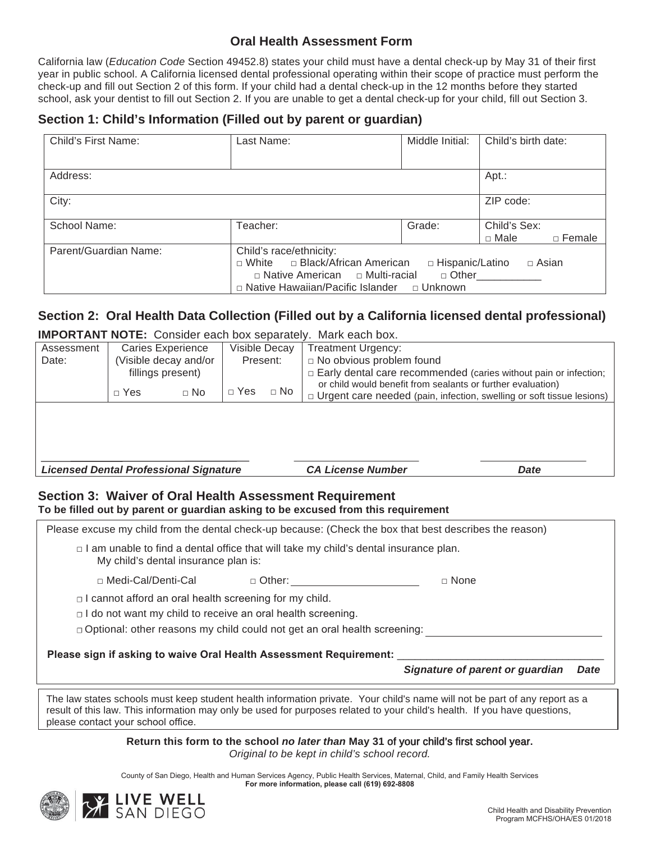### **Oral Health Assessment Form**

California law (*Education Code* Section 49452.8) states your child must have a dental check-up by May 31 of their first year in public school. A California licensed dental professional operating within their scope of practice must perform the check-up and fill out Section 2 of this form. If your child had a dental check-up in the 12 months before they started school, ask your dentist to fill out Section 2. If you are unable to get a dental check-up for your child, fill out Section 3.

### **Section 1: Child's Information (Filled out by parent or guardian)**

| Child's First Name:   | Last Name:                                                                                                                                                                                                          | Middle Initial: | Child's birth date:                     |  |
|-----------------------|---------------------------------------------------------------------------------------------------------------------------------------------------------------------------------------------------------------------|-----------------|-----------------------------------------|--|
|                       |                                                                                                                                                                                                                     |                 |                                         |  |
| Address:              |                                                                                                                                                                                                                     |                 | Apt.:                                   |  |
| City:                 |                                                                                                                                                                                                                     |                 | ZIP code:                               |  |
| School Name:          | Teacher:                                                                                                                                                                                                            | Grade:          | Child's Sex:<br>□ Male<br>$\Box$ Female |  |
| Parent/Guardian Name: | Child's race/ethnicity:<br>□ White □ Black/African American<br>□ Hispanic/Latino<br>□ Asian<br>$\Box$ Native American $\Box$ Multi-racial<br>$\Box$ Other<br>$\Box$ Native Hawaiian/Pacific Islander $\Box$ Unknown |                 |                                         |  |

# **Section 2: Oral Health Data Collection (Filled out by a California licensed dental professional)**

**IMPORTANT NOTE:** Consider each box separately. Mark each box.

| Assessment                                    |                      | Caries Experience        |              | Visible Decay | <b>Treatment Urgency:</b>                                                                                                                   |  |
|-----------------------------------------------|----------------------|--------------------------|--------------|---------------|---------------------------------------------------------------------------------------------------------------------------------------------|--|
| Date:                                         | Visible decay and/or |                          | Present:     |               | □ No obvious problem found                                                                                                                  |  |
|                                               | fillings present)    |                          |              |               | $\Box$ Early dental care recommended (caries without pain or infection;                                                                     |  |
|                                               | $\Box$ Yes           | $\sqcap$ No              | $\sqcap$ Yes | $\Box$ No     | or child would benefit from sealants or further evaluation)<br>$\Box$ Urgent care needed (pain, infection, swelling or soft tissue lesions) |  |
|                                               |                      |                          |              |               |                                                                                                                                             |  |
|                                               |                      |                          |              |               |                                                                                                                                             |  |
|                                               |                      |                          |              |               |                                                                                                                                             |  |
|                                               |                      |                          |              |               |                                                                                                                                             |  |
| <b>Licensed Dental Professional Signature</b> |                      | <b>CA License Number</b> | Date         |               |                                                                                                                                             |  |

## **Section 3: Waiver of Oral Health Assessment Requirement**

**To be filled out by parent or guardian asking to be excused from this requirement** 

Please excuse my child from the dental check-up because: (Check the box that best describes the reason)  $\Box$  I am unable to find a dental office that will take my child's dental insurance plan. My child's dental insurance plan is: □ Medi-Cal/Denti-CaO □ Other □ None  $\Box$  I cannot afford an oral health screening for my child.  $\Box$  I do not want my child to receive an oral health screening.  $\Box$  Optional: other reasons my child could not get an oral health screening: Please sign if asking to waive Oral Health Assessment Requirement: *Signature of parent or guardianDate* 

The law states schools must keep student health information private. Your child's name will not be part of any report as a result of this law. This information may only be used for purposes related to your child's health. If you have questions, please contact your school office.

> **Return this form to the school** *no later than* **May 31** of your child's first school year *Original to be kept in child's school record.*

County of San Diego, Health and Human Services Agency, Public Health Services, Maternal, Child, and Family Health Services For more information, please call (619) 692-8808